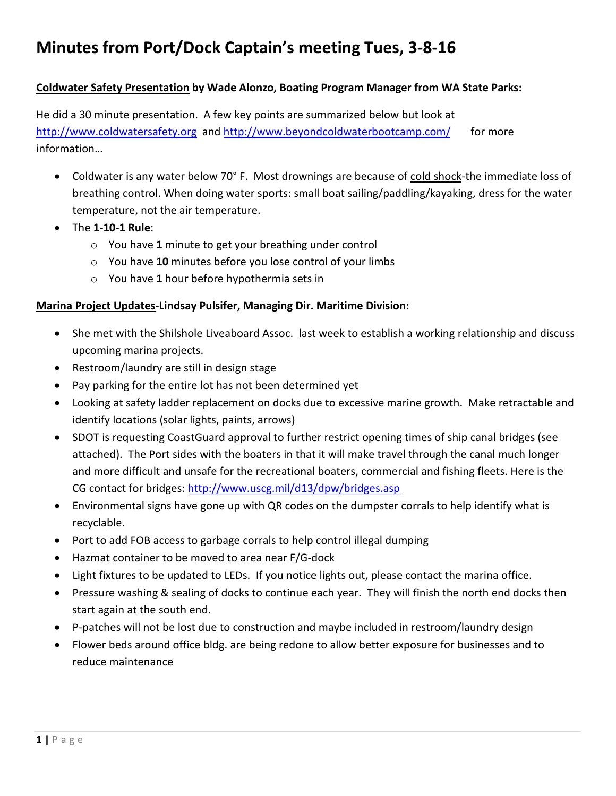# **Minutes from Port/Dock Captain's meeting Tues, 3-8-16**

#### **Coldwater Safety Presentation by Wade Alonzo, Boating Program Manager from WA State Parks:**

He did a 30 minute presentation. A few key points are summarized below but look at http://www.coldwatersafety.org and http://www.beyondcoldwaterbootcamp.com/ for more information…

- Coldwater is any water below 70° F. Most drownings are because of cold shock-the immediate loss of breathing control. When doing water sports: small boat sailing/paddling/kayaking, dress for the water temperature, not the air temperature.
- The **1-10-1 Rule**:
	- o You have **1** minute to get your breathing under control
	- o You have **10** minutes before you lose control of your limbs
	- o You have **1** hour before hypothermia sets in

#### **Marina Project Updates-Lindsay Pulsifer, Managing Dir. Maritime Division:**

- She met with the Shilshole Liveaboard Assoc. last week to establish a working relationship and discuss upcoming marina projects.
- Restroom/laundry are still in design stage
- Pay parking for the entire lot has not been determined yet
- Looking at safety ladder replacement on docks due to excessive marine growth. Make retractable and identify locations (solar lights, paints, arrows)
- SDOT is requesting CoastGuard approval to further restrict opening times of ship canal bridges (see attached). The Port sides with the boaters in that it will make travel through the canal much longer and more difficult and unsafe for the recreational boaters, commercial and fishing fleets. Here is the CG contact for bridges: http://www.uscg.mil/d13/dpw/bridges.asp
- Environmental signs have gone up with QR codes on the dumpster corrals to help identify what is recyclable.
- Port to add FOB access to garbage corrals to help control illegal dumping
- Hazmat container to be moved to area near F/G-dock
- Light fixtures to be updated to LEDs. If you notice lights out, please contact the marina office.
- Pressure washing & sealing of docks to continue each year. They will finish the north end docks then start again at the south end.
- P-patches will not be lost due to construction and maybe included in restroom/laundry design
- Flower beds around office bldg. are being redone to allow better exposure for businesses and to reduce maintenance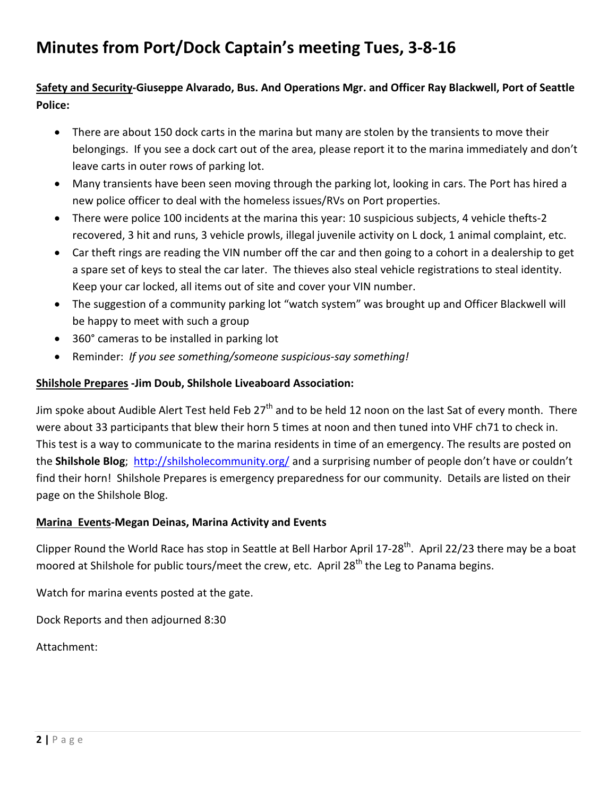# **Minutes from Port/Dock Captain's meeting Tues, 3-8-16**

### **Safety and Security-Giuseppe Alvarado, Bus. And Operations Mgr. and Officer Ray Blackwell, Port of Seattle Police:**

- There are about 150 dock carts in the marina but many are stolen by the transients to move their belongings. If you see a dock cart out of the area, please report it to the marina immediately and don't leave carts in outer rows of parking lot.
- Many transients have been seen moving through the parking lot, looking in cars. The Port has hired a new police officer to deal with the homeless issues/RVs on Port properties.
- There were police 100 incidents at the marina this year: 10 suspicious subjects, 4 vehicle thefts-2 recovered, 3 hit and runs, 3 vehicle prowls, illegal juvenile activity on L dock, 1 animal complaint, etc.
- Car theft rings are reading the VIN number off the car and then going to a cohort in a dealership to get a spare set of keys to steal the car later. The thieves also steal vehicle registrations to steal identity. Keep your car locked, all items out of site and cover your VIN number.
- The suggestion of a community parking lot "watch system" was brought up and Officer Blackwell will be happy to meet with such a group
- 360° cameras to be installed in parking lot
- Reminder: *If you see something/someone suspicious-say something!*

### **Shilshole Prepares -Jim Doub, Shilshole Liveaboard Association:**

Jim spoke about Audible Alert Test held Feb 27<sup>th</sup> and to be held 12 noon on the last Sat of every month. There were about 33 participants that blew their horn 5 times at noon and then tuned into VHF ch71 to check in. This test is a way to communicate to the marina residents in time of an emergency. The results are posted on the **Shilshole Blog**; http://shilsholecommunity.org/ and a surprising number of people don't have or couldn't find their horn! Shilshole Prepares is emergency preparedness for our community. Details are listed on their page on the Shilshole Blog.

### **Marina Events-Megan Deinas, Marina Activity and Events**

Clipper Round the World Race has stop in Seattle at Bell Harbor April 17-28<sup>th</sup>. April 22/23 there may be a boat moored at Shilshole for public tours/meet the crew, etc. April 28<sup>th</sup> the Leg to Panama begins.

Watch for marina events posted at the gate.

Dock Reports and then adjourned 8:30

Attachment: